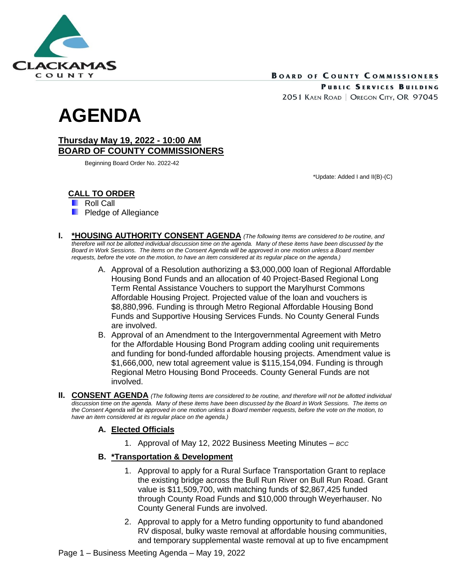

**BOARD OF COUNTY COMMISSIONERS** 

PUBLIC SERVICES BUILDING 2051 KAEN ROAD | OREGON CITY, OR 97045

# **AGENDA**

## **Thursday May 19, 2022 - 10:00 AM BOARD OF COUNTY COMMISSIONERS**

Beginning Board Order No. 2022-42

\*Update: Added I and II(B)-(C)

## **CALL TO ORDER**

- **Roll Call**
- **Pledge of Allegiance**
- **I. \*HOUSING AUTHORITY CONSENT AGENDA** *(The following Items are considered to be routine, and therefore will not be allotted individual discussion time on the agenda. Many of these items have been discussed by the Board in Work Sessions. The items on the Consent Agenda will be approved in one motion unless a Board member requests, before the vote on the motion, to have an item considered at its regular place on the agenda.)*
	- A. Approval of a Resolution authorizing a \$3,000,000 loan of Regional Affordable Housing Bond Funds and an allocation of 40 Project-Based Regional Long Term Rental Assistance Vouchers to support the Marylhurst Commons Affordable Housing Project. Projected value of the loan and vouchers is \$8,880,996. Funding is through Metro Regional Affordable Housing Bond Funds and Supportive Housing Services Funds. No County General Funds are involved.
	- B. Approval of an Amendment to the Intergovernmental Agreement with Metro for the Affordable Housing Bond Program adding cooling unit requirements and funding for bond-funded affordable housing projects. Amendment value is \$1,666,000, new total agreement value is \$115,154,094. Funding is through Regional Metro Housing Bond Proceeds. County General Funds are not involved.
- **II. CONSENT AGENDA** *(The following Items are considered to be routine, and therefore will not be allotted individual discussion time on the agenda. Many of these items have been discussed by the Board in Work Sessions. The items on the Consent Agenda will be approved in one motion unless a Board member requests, before the vote on the motion, to have an item considered at its regular place on the agenda.)*

## **A. Elected Officials**

1. Approval of May 12, 2022 Business Meeting Minutes – *BCC*

### **B. \*Transportation & Development**

- 1. Approval to apply for a Rural Surface Transportation Grant to replace the existing bridge across the Bull Run River on Bull Run Road. Grant value is \$11,509,700, with matching funds of \$2,867,425 funded through County Road Funds and \$10,000 through Weyerhauser. No County General Funds are involved.
- 2. Approval to apply for a Metro funding opportunity to fund abandoned RV disposal, bulky waste removal at affordable housing communities, and temporary supplemental waste removal at up to five encampment